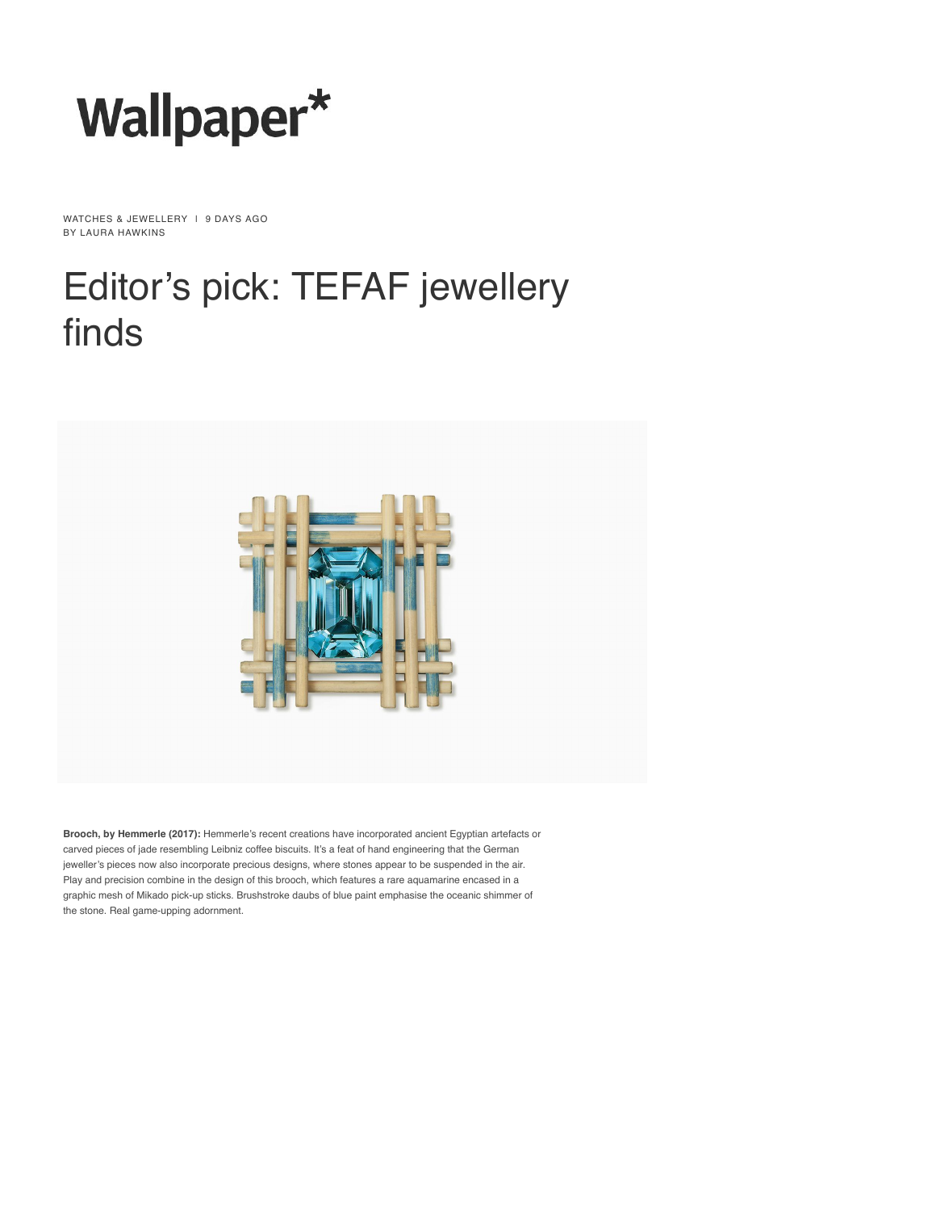

WATCHES & JEWELLERY | 9 DAYS AGO BY [LAURA HAWKINS](https://www.wallpaper.com/author/laura-hawkins)

## [Editor'](https://www.wallpaper.com/)[s p](https://www.wallpaper.com/latest)i[ck: T](https://www.wallpaper.com/architecture)[EF](https://www.wallpaper.com/design)[AF](https://www.wallpaper.com/art) [je](https://www.wallpaper.com/travel)[well](https://www.wallpaper.com/lifestyle)[ery](https://www.wallpaper.com/fashion) finds



**Brooch, by [Hemmerle](https://hemmerle.com/) (2017):** Hemmerle's recent creations have incorporated ancient Egyptian artefacts or carved pieces of jade resembling Leibniz coffee biscuits. It's a feat of hand engineering that the German jeweller's pieces now also incorporate precious designs, where stones appear to be suspended in the air. Play and precision combine in the design of this brooch, which features a rare aquamarine encased in a graphic mesh of Mikado pick-up sticks. Brushstroke daubs of blue paint emphasise the oceanic shimmer of the stone. Real game-upping adornment.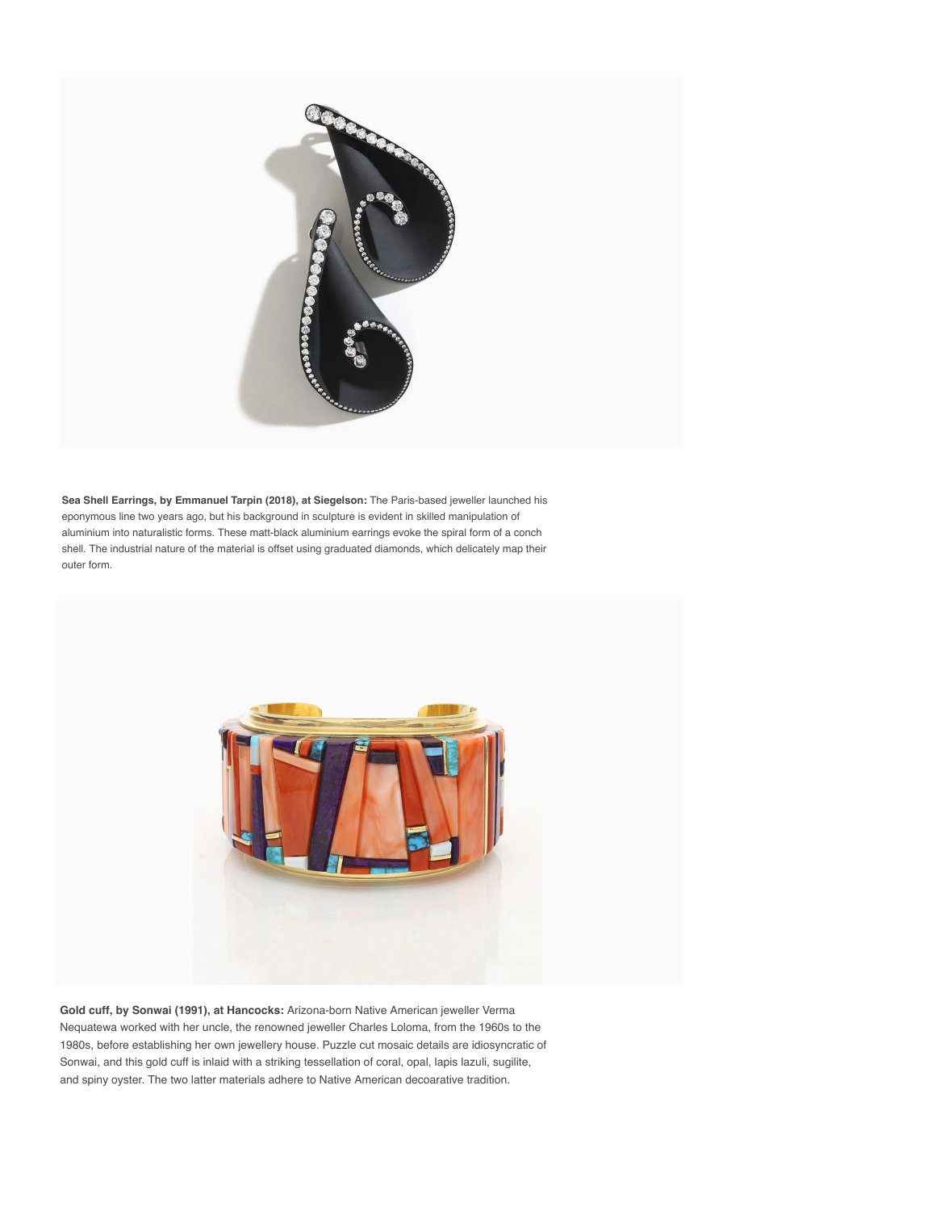

**Sea Shell Earrings, by Emmanuel Tarpin (2018), at [Siegelson:](http://www.siegelson.com/)** The Paris-based jeweller launched his eponymous line two years ago, but his background in sculpture is evident in skilled manipulation of aluminium into naturalistic forms. These matt-black aluminium earrings evoke the spiral form of a conch shell. The industrial nature of the material is offset using graduated diamonds, which delicately map their outer form.



**Gold cuff, by Sonwai (1991), at Hancocks:** Arizona-born Native American jeweller Verma Nequatewa worked with her uncle, the renowned jeweller Charles Loloma, from the 1960s to the 1980s, before establishing her own jewellery house. Puzzle cut mosaic details are idiosyncratic of Sonwai, and this gold cuff is inlaid with a striking tessellation of coral, opal, lapis lazuli, sugilite, and spiny oyster. The two latter materials adhere to Native American decoarative tradition.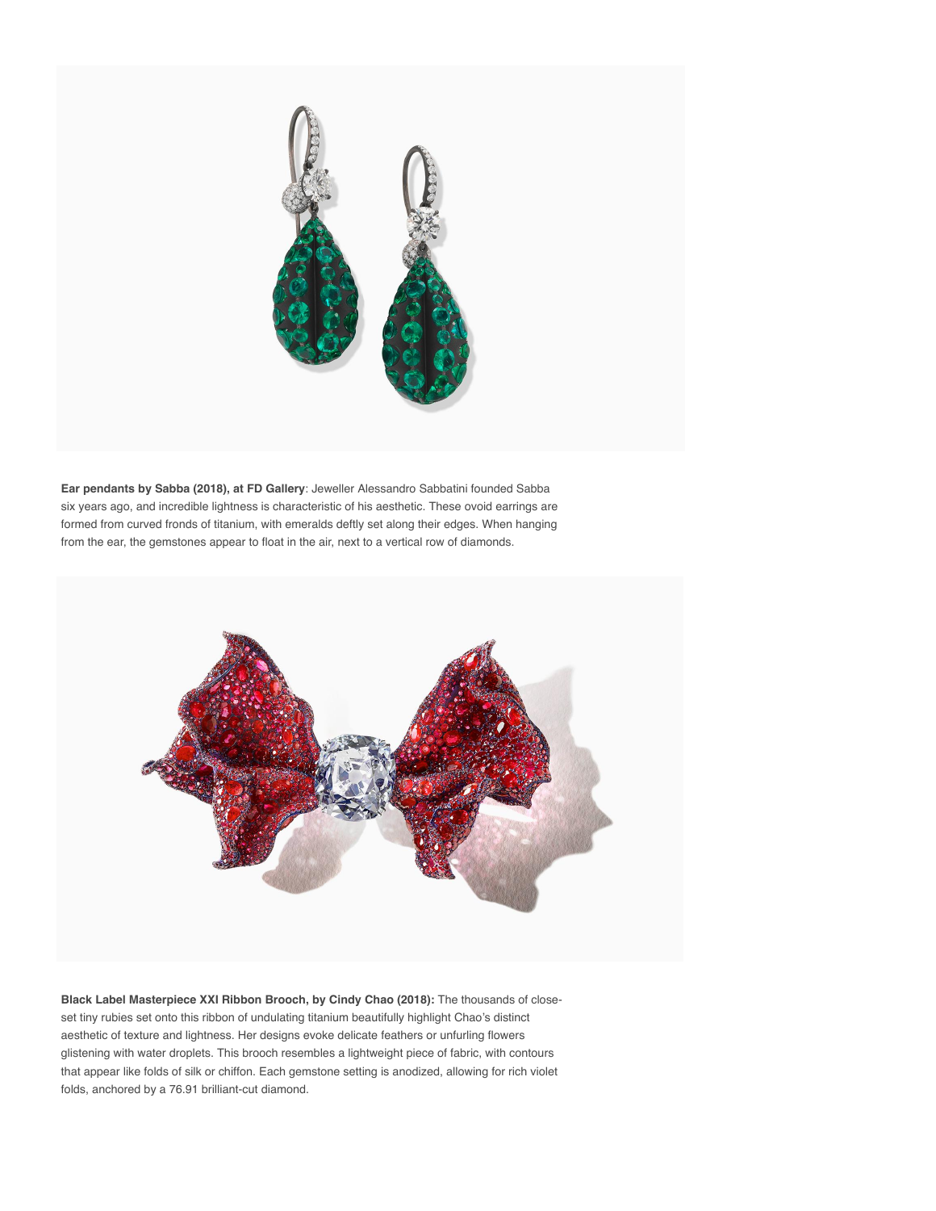

**Ear pendants by Sabba (2018), at [FD Gallery](https://fd-gallery.com/)**: Jeweller Alessandro Sabbatini founded Sabba six years ago, and incredible lightness is characteristic of his aesthetic. These ovoid earrings are formed from curved fronds of titanium, with emeralds deftly set along their edges. When hanging from the ear, the gemstones appear to float in the air, next to a vertical row of diamonds.



**Black Label Masterpiece XXI Ribbon Brooch, by Cindy Chao (2018):** The thousands of closeset tiny rubies set onto this ribbon of undulating titanium beautifully highlight Chao's distinct aesthetic of texture and lightness. Her designs evoke delicate feathers or unfurling flowers glistening with water droplets. This brooch resembles a lightweight piece of fabric, with contours that appear like folds of silk or chiffon. Each gemstone setting is anodized, allowing for rich violet folds, anchored by a 76.91 brilliant-cut diamond.